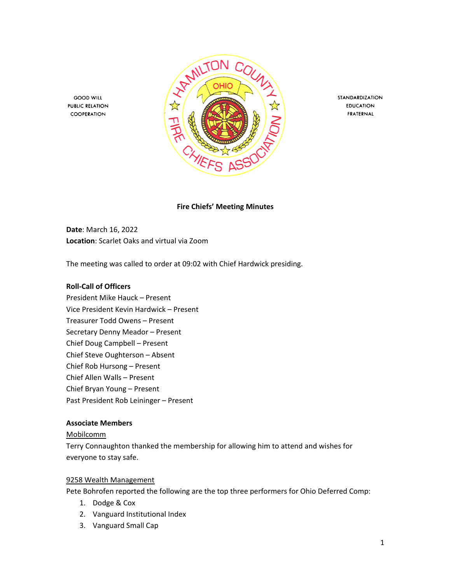

STANDARDIZATION **EDUCATION** FRATERNAL

**Fire Chiefs' Meeting Minutes**

**Date**: March 16, 2022 **Location**: Scarlet Oaks and virtual via Zoom

The meeting was called to order at 09:02 with Chief Hardwick presiding.

#### **Roll-Call of Officers**

**GOOD WILL** 

**PUBLIC RELATION** 

COOPERATION

President Mike Hauck – Present Vice President Kevin Hardwick – Present Treasurer Todd Owens – Present Secretary Denny Meador – Present Chief Doug Campbell – Present Chief Steve Oughterson – Absent Chief Rob Hursong – Present Chief Allen Walls – Present Chief Bryan Young – Present Past President Rob Leininger – Present

### **Associate Members**

#### Mobilcomm

Terry Connaughton thanked the membership for allowing him to attend and wishes for everyone to stay safe.

#### 9258 Wealth Management

Pete Bohrofen reported the following are the top three performers for Ohio Deferred Comp:

- 1. Dodge & Cox
- 2. Vanguard Institutional Index
- 3. Vanguard Small Cap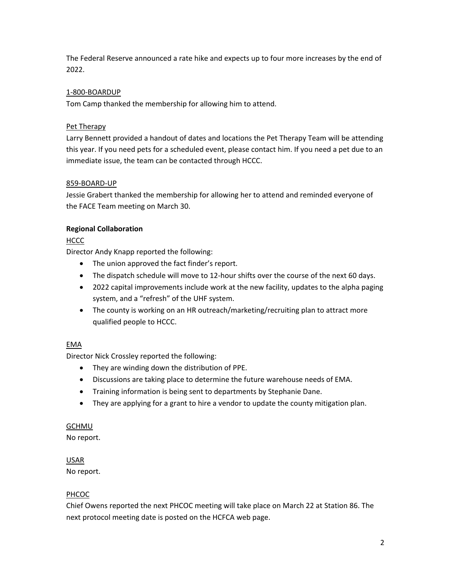The Federal Reserve announced a rate hike and expects up to four more increases by the end of 2022.

# 1-800-BOARDUP

Tom Camp thanked the membership for allowing him to attend.

# Pet Therapy

Larry Bennett provided a handout of dates and locations the Pet Therapy Team will be attending this year. If you need pets for a scheduled event, please contact him. If you need a pet due to an immediate issue, the team can be contacted through HCCC.

# 859-BOARD-UP

Jessie Grabert thanked the membership for allowing her to attend and reminded everyone of the FACE Team meeting on March 30.

# **Regional Collaboration**

# HCCC

Director Andy Knapp reported the following:

- The union approved the fact finder's report.
- The dispatch schedule will move to 12-hour shifts over the course of the next 60 days.
- 2022 capital improvements include work at the new facility, updates to the alpha paging system, and a "refresh" of the UHF system.
- The county is working on an HR outreach/marketing/recruiting plan to attract more qualified people to HCCC.

# EMA

Director Nick Crossley reported the following:

- They are winding down the distribution of PPE.
- Discussions are taking place to determine the future warehouse needs of EMA.
- Training information is being sent to departments by Stephanie Dane.
- They are applying for a grant to hire a vendor to update the county mitigation plan.

# GCHMU

No report.

# USAR

No report.

# PHCOC

Chief Owens reported the next PHCOC meeting will take place on March 22 at Station 86. The next protocol meeting date is posted on the HCFCA web page.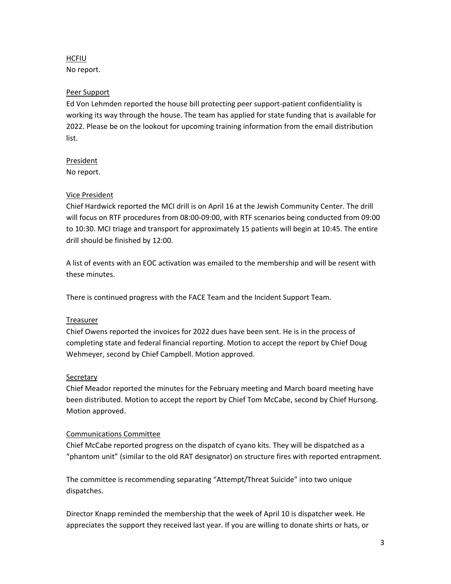### HCFIU

No report.

# Peer Support

Ed Von Lehmden reported the house bill protecting peer support-patient confidentiality is working its way through the house. The team has applied for state funding that is available for 2022. Please be on the lookout for upcoming training information from the email distribution list.

### President

No report.

# Vice President

Chief Hardwick reported the MCI drill is on April 16 at the Jewish Community Center. The drill will focus on RTF procedures from 08:00-09:00, with RTF scenarios being conducted from 09:00 to 10:30. MCI triage and transport for approximately 15 patients will begin at 10:45. The entire drill should be finished by 12:00.

A list of events with an EOC activation was emailed to the membership and will be resent with these minutes.

There is continued progress with the FACE Team and the Incident Support Team.

# Treasurer

Chief Owens reported the invoices for 2022 dues have been sent. He is in the process of completing state and federal financial reporting. Motion to accept the report by Chief Doug Wehmeyer, second by Chief Campbell. Motion approved.

# **Secretary**

Chief Meador reported the minutes for the February meeting and March board meeting have been distributed. Motion to accept the report by Chief Tom McCabe, second by Chief Hursong. Motion approved.

### Communications Committee

Chief McCabe reported progress on the dispatch of cyano kits. They will be dispatched as a "phantom unit" (similar to the old RAT designator) on structure fires with reported entrapment.

The committee is recommending separating "Attempt/Threat Suicide" into two unique dispatches.

Director Knapp reminded the membership that the week of April 10 is dispatcher week. He appreciates the support they received last year. If you are willing to donate shirts or hats, or